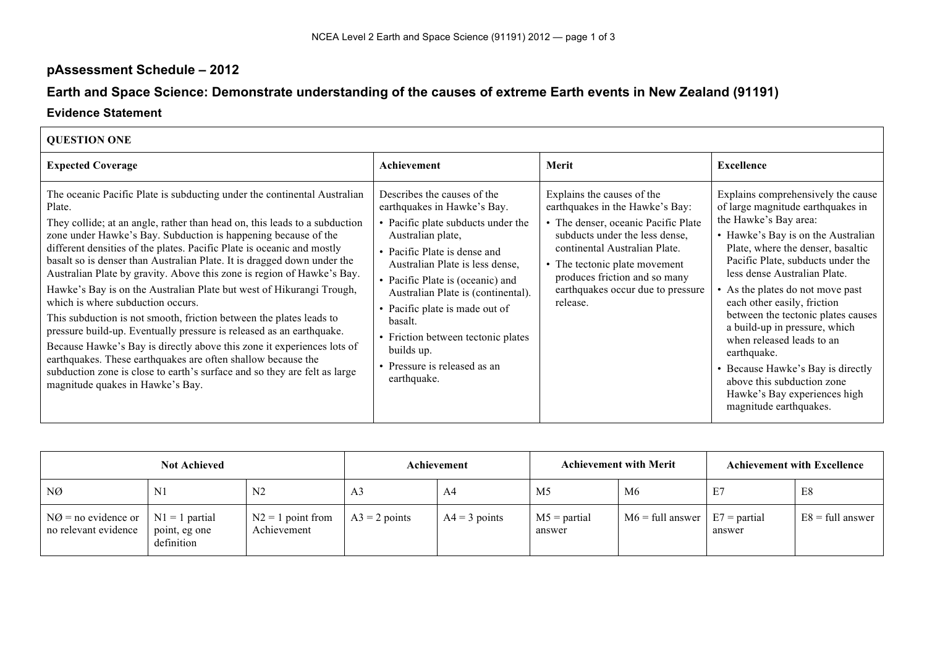## **pAssessment Schedule – 2012**

## **Earth and Space Science: Demonstrate understanding of the causes of extreme Earth events in New Zealand (91191)**

## **Evidence Statement**

| <b>QUESTION ONE</b>                                                                                                                                                                                                                                                                                                                                                                                                                                                                                                                                                                                                                                                                                                                                                                                                                                                                                                                                                                      |                                                                                                                                                                                                                                                                                                                                                                                                                    |                                                                                                                                                                                                                                                                                            |                                                                                                                                                                                                                                                                                                                                                                                                                                                                                                                                                                     |
|------------------------------------------------------------------------------------------------------------------------------------------------------------------------------------------------------------------------------------------------------------------------------------------------------------------------------------------------------------------------------------------------------------------------------------------------------------------------------------------------------------------------------------------------------------------------------------------------------------------------------------------------------------------------------------------------------------------------------------------------------------------------------------------------------------------------------------------------------------------------------------------------------------------------------------------------------------------------------------------|--------------------------------------------------------------------------------------------------------------------------------------------------------------------------------------------------------------------------------------------------------------------------------------------------------------------------------------------------------------------------------------------------------------------|--------------------------------------------------------------------------------------------------------------------------------------------------------------------------------------------------------------------------------------------------------------------------------------------|---------------------------------------------------------------------------------------------------------------------------------------------------------------------------------------------------------------------------------------------------------------------------------------------------------------------------------------------------------------------------------------------------------------------------------------------------------------------------------------------------------------------------------------------------------------------|
| <b>Expected Coverage</b>                                                                                                                                                                                                                                                                                                                                                                                                                                                                                                                                                                                                                                                                                                                                                                                                                                                                                                                                                                 | Achievement                                                                                                                                                                                                                                                                                                                                                                                                        | Merit                                                                                                                                                                                                                                                                                      | <b>Excellence</b>                                                                                                                                                                                                                                                                                                                                                                                                                                                                                                                                                   |
| The oceanic Pacific Plate is subducting under the continental Australian<br>Plate.<br>They collide; at an angle, rather than head on, this leads to a subduction<br>zone under Hawke's Bay. Subduction is happening because of the<br>different densities of the plates. Pacific Plate is oceanic and mostly<br>basalt so is denser than Australian Plate. It is dragged down under the<br>Australian Plate by gravity. Above this zone is region of Hawke's Bay.<br>Hawke's Bay is on the Australian Plate but west of Hikurangi Trough,<br>which is where subduction occurs.<br>This subduction is not smooth, friction between the plates leads to<br>pressure build-up. Eventually pressure is released as an earthquake.<br>Because Hawke's Bay is directly above this zone it experiences lots of<br>earthquakes. These earthquakes are often shallow because the<br>subduction zone is close to earth's surface and so they are felt as large<br>magnitude quakes in Hawke's Bay. | Describes the causes of the<br>earthquakes in Hawke's Bay.<br>• Pacific plate subducts under the<br>Australian plate,<br>• Pacific Plate is dense and<br>Australian Plate is less dense,<br>• Pacific Plate is (oceanic) and<br>Australian Plate is (continental).<br>• Pacific plate is made out of<br>basalt.<br>• Friction between tectonic plates<br>builds up.<br>• Pressure is released as an<br>earthquake. | Explains the causes of the<br>earthquakes in the Hawke's Bay:<br>• The denser, oceanic Pacific Plate<br>subducts under the less dense,<br>continental Australian Plate.<br>• The tectonic plate movement<br>produces friction and so many<br>earthquakes occur due to pressure<br>release. | Explains comprehensively the cause<br>of large magnitude earthquakes in<br>the Hawke's Bay area:<br>• Hawke's Bay is on the Australian<br>Plate, where the denser, basaltic<br>Pacific Plate, subducts under the<br>less dense Australian Plate.<br>• As the plates do not move past<br>each other easily, friction<br>between the tectonic plates causes<br>a build-up in pressure, which<br>when released leads to an<br>earthquake.<br>• Because Hawke's Bay is directly<br>above this subduction zone<br>Hawke's Bay experiences high<br>magnitude earthquakes. |

| <b>Not Achieved</b>                                                         |                             | Achievement                        |                 | <b>Achievement with Merit</b> |                          | <b>Achievement with Excellence</b> |        |                           |
|-----------------------------------------------------------------------------|-----------------------------|------------------------------------|-----------------|-------------------------------|--------------------------|------------------------------------|--------|---------------------------|
| NØ                                                                          | N1                          | N <sub>2</sub>                     | A <sub>3</sub>  | A4                            | M <sub>5</sub>           | M6                                 | E7     | E8                        |
| $N\emptyset$ = no evidence or $\mid N1 = 1$ partial<br>no relevant evidence | point, eg one<br>definition | $N2 = 1$ point from<br>Achievement | $A3 = 2$ points | $A4 = 3$ points               | $M5$ = partial<br>answer | $M6 = full answer$   E7 = partial  | answer | $E8 = \text{full answer}$ |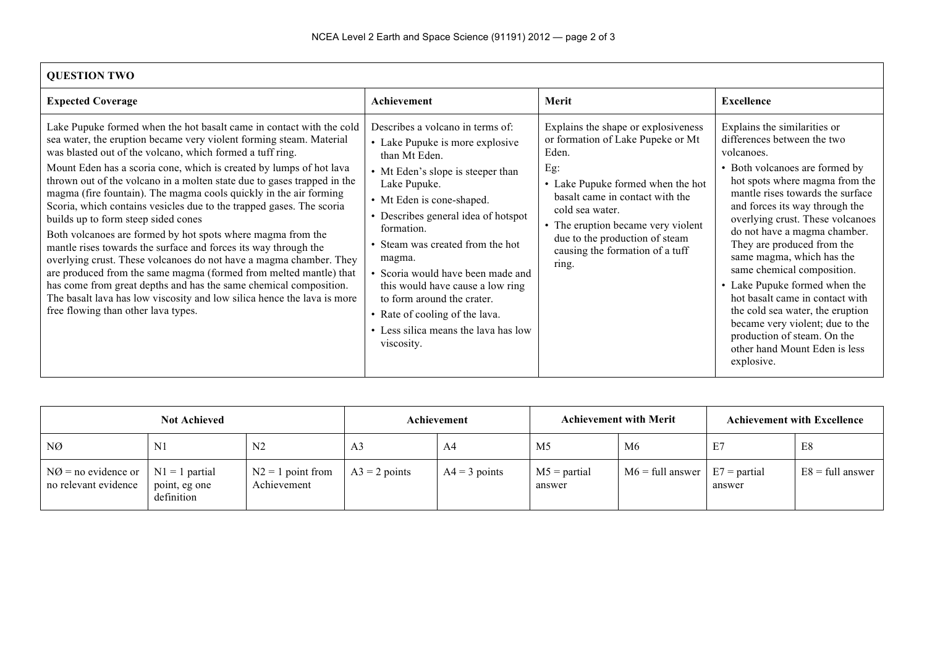| <b>QUESTION TWO</b>                                                                                                                                                                                                                                                                                                                                                                                                                                                                                                                                                                                                                                                                                                                                                                                                                                                                                                                                                                                                |                                                                                                                                                                                                                                                                                                                                                                                                                                                                        |                                                                                                                                                                                                                                                                                                         |                                                                                                                                                                                                                                                                                                                                                                                                                                                                                                                                                                                                           |  |  |  |  |  |
|--------------------------------------------------------------------------------------------------------------------------------------------------------------------------------------------------------------------------------------------------------------------------------------------------------------------------------------------------------------------------------------------------------------------------------------------------------------------------------------------------------------------------------------------------------------------------------------------------------------------------------------------------------------------------------------------------------------------------------------------------------------------------------------------------------------------------------------------------------------------------------------------------------------------------------------------------------------------------------------------------------------------|------------------------------------------------------------------------------------------------------------------------------------------------------------------------------------------------------------------------------------------------------------------------------------------------------------------------------------------------------------------------------------------------------------------------------------------------------------------------|---------------------------------------------------------------------------------------------------------------------------------------------------------------------------------------------------------------------------------------------------------------------------------------------------------|-----------------------------------------------------------------------------------------------------------------------------------------------------------------------------------------------------------------------------------------------------------------------------------------------------------------------------------------------------------------------------------------------------------------------------------------------------------------------------------------------------------------------------------------------------------------------------------------------------------|--|--|--|--|--|
| <b>Expected Coverage</b>                                                                                                                                                                                                                                                                                                                                                                                                                                                                                                                                                                                                                                                                                                                                                                                                                                                                                                                                                                                           | Achievement                                                                                                                                                                                                                                                                                                                                                                                                                                                            | Merit                                                                                                                                                                                                                                                                                                   | <b>Excellence</b>                                                                                                                                                                                                                                                                                                                                                                                                                                                                                                                                                                                         |  |  |  |  |  |
| Lake Pupuke formed when the hot basalt came in contact with the cold<br>sea water, the eruption became very violent forming steam. Material<br>was blasted out of the volcano, which formed a tuff ring.<br>Mount Eden has a scoria cone, which is created by lumps of hot lava<br>thrown out of the volcano in a molten state due to gases trapped in the<br>magma (fire fountain). The magma cools quickly in the air forming<br>Scoria, which contains vesicles due to the trapped gases. The scoria<br>builds up to form steep sided cones<br>Both volcanoes are formed by hot spots where magma from the<br>mantle rises towards the surface and forces its way through the<br>overlying crust. These volcanoes do not have a magma chamber. They<br>are produced from the same magma (formed from melted mantle) that<br>has come from great depths and has the same chemical composition.<br>The basalt lava has low viscosity and low silica hence the lava is more<br>free flowing than other lava types. | Describes a volcano in terms of:<br>• Lake Pupuke is more explosive<br>than Mt Eden.<br>• Mt Eden's slope is steeper than<br>Lake Pupuke.<br>• Mt Eden is cone-shaped.<br>• Describes general idea of hotspot<br>formation.<br>Steam was created from the hot<br>magma.<br>· Scoria would have been made and<br>this would have cause a low ring<br>to form around the crater.<br>• Rate of cooling of the lava.<br>• Less silica means the lava has low<br>viscosity. | Explains the shape or explosiveness<br>or formation of Lake Pupeke or Mt<br>Eden.<br>Eg:<br>• Lake Pupuke formed when the hot<br>basalt came in contact with the<br>cold sea water.<br>• The eruption became very violent<br>due to the production of steam<br>causing the formation of a tuff<br>ring. | Explains the similarities or<br>differences between the two<br>volcanoes.<br>• Both volcanoes are formed by<br>hot spots where magma from the<br>mantle rises towards the surface<br>and forces its way through the<br>overlying crust. These volcanoes<br>do not have a magma chamber.<br>They are produced from the<br>same magma, which has the<br>same chemical composition.<br>• Lake Pupuke formed when the<br>hot basalt came in contact with<br>the cold sea water, the eruption<br>became very violent; due to the<br>production of steam. On the<br>other hand Mount Eden is less<br>explosive. |  |  |  |  |  |

| <b>Not Achieved</b>                                                                        |            | Achievement                        |                 | <b>Achievement with Merit</b> |                          | <b>Achievement with Excellence</b> |        |                           |
|--------------------------------------------------------------------------------------------|------------|------------------------------------|-----------------|-------------------------------|--------------------------|------------------------------------|--------|---------------------------|
| NØ                                                                                         | N1         | N <sub>2</sub>                     | A <sub>3</sub>  | A4                            | M <sub>5</sub>           | M6                                 | E7     | E8                        |
| $\vert$ NØ = no evidence or $\vert$ N1 = 1 partial<br>no relevant evidence   point, eg one | definition | $N2 = 1$ point from<br>Achievement | $A3 = 2$ points | $A4 = 3$ points               | $M5$ = partial<br>answer | $M6 = full answer$ $E7 = partial$  | answer | $E8 = \text{full answer}$ |